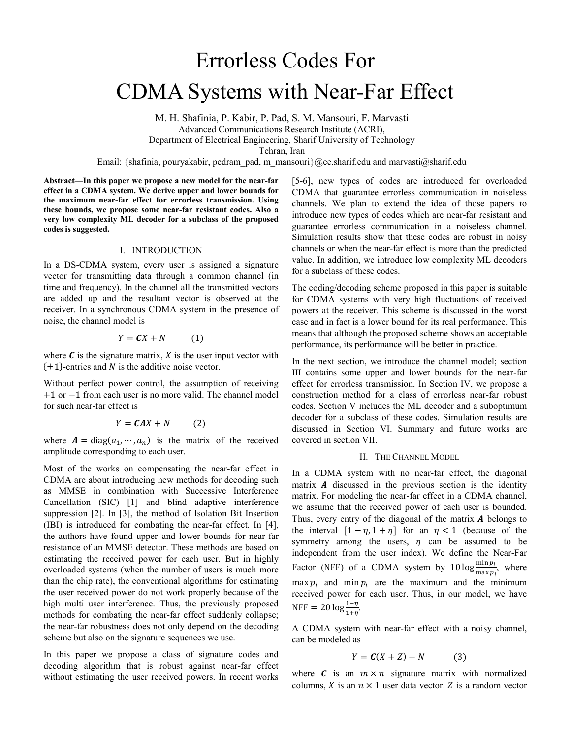# Errorless Codes For CDMA Systems with Near-Far Effect

M. H. Shafinia, P. Kabir, P. Pad, S. M. Mansouri, F. Marvasti Advanced Communications Research Institute (ACRI), Department of Electrical Engineering, Sharif University of Technology Tehran, Iran

Email: {shafinia, pouryakabir, pedram pad, m\_mansouri}@ee.sharif.edu and marvasti@sharif.edu

**Abstract—In this paper we propose a new model for the near-far effect in a CDMA system. We derive upper and lower bounds for the maximum near-far effect for errorless transmission. Using these bounds, we propose some near-far resistant codes. Also a very low complexity ML decoder for a subclass of the proposed codes is suggested.** 

### I. INTRODUCTION

In a DS-CDMA system, every user is assigned a signature vector for transmitting data through a common channel (in time and frequency). In the channel all the transmitted vectors are added up and the resultant vector is observed at the receiver. In a synchronous CDMA system in the presence of noise, the channel model is

$$
Y = CX + N \tag{1}
$$

where  $\boldsymbol{c}$  is the signature matrix,  $\boldsymbol{X}$  is the user input vector with  $\{\pm 1\}$ -entries and N is the additive noise vector.

Without perfect power control, the assumption of receiving +1 or −1 from each user is no more valid. The channel model for such near-far effect is

$$
Y = \mathbf{C}AX + N \tag{2}
$$

where  $A = diag(a_1, \dots, a_n)$  is the matrix of the received amplitude corresponding to each user.

Most of the works on compensating the near-far effect in CDMA are about introducing new methods for decoding such as MMSE in combination with Successive Interference Cancellation (SIC) [1] and blind adaptive interference suppression [2]. In [3], the method of Isolation Bit Insertion (IBI) is introduced for combating the near-far effect. In [4], the authors have found upper and lower bounds for near-far resistance of an MMSE detector. These methods are based on estimating the received power for each user. But in highly overloaded systems (when the number of users is much more than the chip rate), the conventional algorithms for estimating the user received power do not work properly because of the high multi user interference. Thus, the previously proposed methods for combating the near-far effect suddenly collapse; the near-far robustness does not only depend on the decoding scheme but also on the signature sequences we use.

In this paper we propose a class of signature codes and decoding algorithm that is robust against near-far effect without estimating the user received powers. In recent works [5-6], new types of codes are introduced for overloaded CDMA that guarantee errorless communication in noiseless channels. We plan to extend the idea of those papers to introduce new types of codes which are near-far resistant and guarantee errorless communication in a noiseless channel. Simulation results show that these codes are robust in noisy channels or when the near-far effect is more than the predicted value. In addition, we introduce low complexity ML decoders for a subclass of these codes.

The coding/decoding scheme proposed in this paper is suitable for CDMA systems with very high fluctuations of received powers at the receiver. This scheme is discussed in the worst case and in fact is a lower bound for its real performance. This means that although the proposed scheme shows an acceptable performance, its performance will be better in practice.

In the next section, we introduce the channel model; section III contains some upper and lower bounds for the near-far effect for errorless transmission. In Section IV, we propose a construction method for a class of errorless near-far robust codes. Section V includes the ML decoder and a suboptimum decoder for a subclass of these codes. Simulation results are discussed in Section VI. Summary and future works are covered in section VII.

## II. THE CHANNEL MODEL

In a CDMA system with no near-far effect, the diagonal matrix  $\boldsymbol{A}$  discussed in the previous section is the identity matrix. For modeling the near-far effect in a CDMA channel, we assume that the received power of each user is bounded. Thus, every entry of the diagonal of the matrix  $A$  belongs to the interval  $[1 - \eta, 1 + \eta]$  for an  $\eta < 1$  (because of the symmetry among the users,  $\eta$  can be assumed to be independent from the user index). We define the Near-Far Factor (NFF) of a CDMA system by  $10 \log \frac{\text{min } p_i}{\text{max } p_i}$ , where  $\max p_i$  and min  $p_i$  are the maximum and the minimum received power for each user. Thus, in our model, we have NFF = 20  $\log \frac{1-\eta}{1+\eta}$ .

A CDMA system with near-far effect with a noisy channel, can be modeled as

$$
Y = C(X + Z) + N \tag{3}
$$

where  $\boldsymbol{c}$  is an  $m \times n$  signature matrix with normalized columns, X is an  $n \times 1$  user data vector. Z is a random vector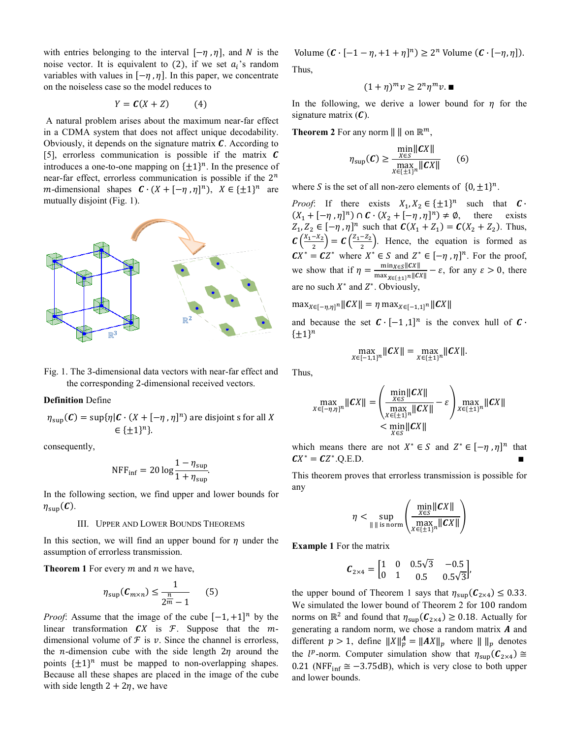with entries belonging to the interval  $[-\eta, \eta]$ , and N is the noise vector. It is equivalent to (2), if we set  $a_i$ 's random variables with values in  $[-\eta, \eta]$ . In this paper, we concentrate on the noiseless case so the model reduces to

$$
Y = \mathbf{C}(X + Z) \tag{4}
$$

 A natural problem arises about the maximum near-far effect in a CDMA system that does not affect unique decodability. Obviously, it depends on the signature matrix  $\mathcal{C}$ . According to [5], errorless communication is possible if the matrix  $\boldsymbol{C}$ introduces a one-to-one mapping on  $\{\pm 1\}^n$ . In the presence of near-far effect, errorless communication is possible if the  $2^n$ *m*-dimensional shapes  $\mathbf{C} \cdot (X + [-\eta, \eta]^n)$ ,  $X \in {\{\pm 1\}}^n$  are mutually disjoint (Fig. 1).



Fig. 1. The 3-dimensional data vectors with near-far effect and the corresponding 2-dimensional received vectors.

## **Definition** Define

$$
\eta_{\sup}(\mathbf{C}) = \sup \{ \eta | \mathbf{C} \cdot (X + [-\eta, \eta]^n) \text{ are disjoint s for all } X \in \{ \pm 1 \}^n \}.
$$

consequently,

$$
NFF_{\text{inf}} = 20 \log \frac{1 - \eta_{\text{sup}}}{1 + \eta_{\text{sup}}}.
$$

In the following section, we find upper and lower bounds for  $\eta_{\sup}(\mathcal{C}).$ 

## III. UPPER AND LOWER BOUNDS THEOREMS

In this section, we will find an upper bound for  $\eta$  under the assumption of errorless transmission.

**Theorem 1** For every  $m$  and  $n$  we have,

$$
\eta_{\sup}(\mathcal{C}_{m \times n}) \le \frac{1}{2^{\frac{n}{m}} - 1} \qquad (5)
$$

*Proof*: Assume that the image of the cube  $[-1, +1]^n$  by the linear transformation  $CX$  is  $F$ . Suppose that the  $m$ dimensional volume of  $\mathcal F$  is  $\nu$ . Since the channel is errorless, the *n*-dimension cube with the side length  $2\eta$  around the points  $\{\pm 1\}^n$  must be mapped to non-overlapping shapes. Because all these shapes are placed in the image of the cube with side length  $2 + 2\eta$ , we have

Volume  $(C \cdot [-1 - \eta, +1 + \eta]^n) \ge 2^n$  Volume  $(C \cdot [-\eta, \eta]).$ Thus,

 $(1 + \eta)^m v \geq 2^n \eta^m v.$ 

In the following, we derive a lower bound for  $\eta$  for the signature matrix  $(C)$ .

**Theorem 2** For any norm  $\| \|$  on  $\mathbb{R}^m$ ,

$$
\eta_{\sup}(C) \ge \frac{\min_{X \in S} \|CX\|}{\max_{X \in \{\pm 1\}^n} \|CX\|} \qquad (6)
$$

where S is the set of all non-zero elements of  $\{0, \pm 1\}^n$ .

*Proof*: If there exists  $X_1, X_2 \in {\pm 1}^n$  such that  $C \cdot$  $(X_1 + [-\eta, \eta]^n) \cap C \cdot (X_2 + [-\eta, \eta]^n) \neq \emptyset$ , there exists  $Z_1, Z_2 \in [-\eta, \eta]^n$  such that  $C(X_1 + Z_1) = C(X_2 + Z_2)$ . Thus,  $\mathcal{C}\left(\frac{X_1 - X_2}{2}\right) = \mathcal{C}\left(\frac{Z_1 - Z_2}{2}\right)$ . Hence, the equation is formed as  $CX^* = CZ^*$  where  $X^* \in S$  and  $Z^* \in [-\eta, \eta]^n$ . For the proof, we show that if  $\eta = \frac{\min_{X \in S} ||CX||}{\max_{X \in C} ||X||}$  $\frac{\max_{\mathcal{S} \in \mathcal{S}} ||c_{\mathcal{S}}||}{\max_{\mathcal{S} \in \{\pm 1\}} ||c_{\mathcal{S}}||} - \varepsilon$ , for any  $\varepsilon > 0$ , there are no such  $X^*$  and  $Z^*$ . Obviously,

 $\max_{X \in [-\eta,\eta]^n} ||CX|| = \eta \max_{X \in [-1,1]^n} ||CX||$ 

and because the set  $C \cdot [-1,1]^n$  is the convex hull of  $C \cdot$  $\{\pm 1\}^n$ 

$$
\max_{X \in [-1,1]^n} ||CX|| = \max_{X \in \{\pm 1\}^n} ||CX||.
$$

Thus,

$$
\max_{X \in [-\eta,\eta]^n} ||CX|| = \left( \frac{\min_{X \in S} ||CX||}{\max_{X \in \{\pm 1\}^n} ||CX||} - \varepsilon \right) \max_{X \in \{\pm 1\}^n} ||CX||
$$
  

$$
< \min_{X \in S} ||CX||
$$

which means there are not  $X^* \in S$  and  $Z^* \in [-\eta, \eta]^n$  that  $\mathbf{C}X^* = \mathbf{C}Z^*$ .Q.E.D.

This theorem proves that errorless transmission is possible for any

$$
\eta < \sup_{\|\|\text{ is norm}} \left( \frac{\min_{X \in S} \|CX\|}{\max_{X \in \{\pm 1\}^n} \|CX\|} \right)
$$

**Example 1** For the matrix

$$
\boldsymbol{C}_{2\times 4} = \begin{bmatrix} 1 & 0 & 0.5\sqrt{3} & -0.5 \\ 0 & 1 & 0.5 & 0.5\sqrt{3} \end{bmatrix},
$$

the upper bound of Theorem 1 says that  $\eta_{\text{sup}}(\mathbf{C}_{2\times4}) \leq 0.33$ . We simulated the lower bound of Theorem 2 for 100 random norms on  $\mathbb{R}^2$  and found that  $\eta_{\text{sup}}(\mathcal{C}_{2\times 4}) \ge 0.18$ . Actually for generating a random norm, we chose a random matrix  $A$  and different  $p > 1$ , define  $||X||_p^A = ||AX||_p$  where  $|| \, ||_p$  denotes the  $l^p$ -norm. Computer simulation show that  $\eta_{\text{sup}}(\mathbf{C}_{2\times 4}) \cong$ 0.21 (NFF<sub>inf</sub>  $\cong$  -3.75dB), which is very close to both upper and lower bounds.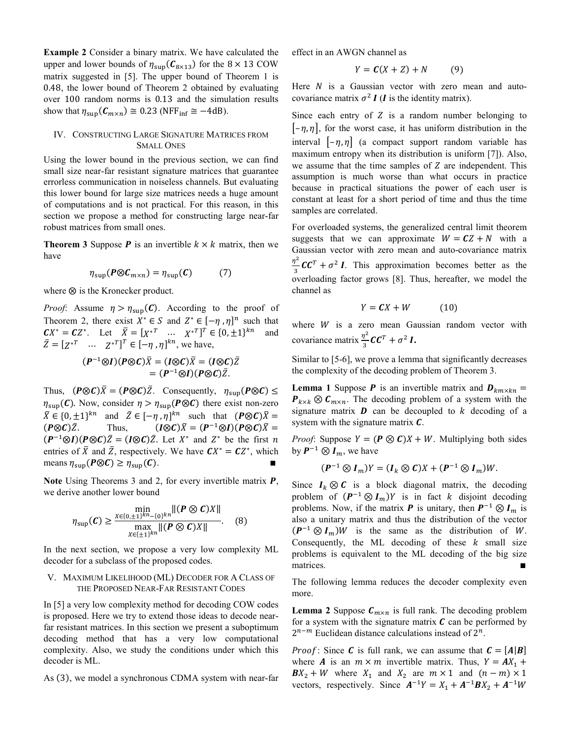**Example 2** Consider a binary matrix. We have calculated the upper and lower bounds of  $\eta_{\text{sup}}(\mathcal{C}_{8 \times 13})$  for the 8 × 13 COW matrix suggested in [5]. The upper bound of Theorem 1 is 0.48, the lower bound of Theorem 2 obtained by evaluating over 100 random norms is 0.13 and the simulation results show that  $\eta_{\text{sup}}(\mathcal{C}_{m \times n}) \cong 0.23$  (NFF<sub>inf</sub>  $\cong -4dB$ ).

## IV. CONSTRUCTING LARGE SIGNATURE MATRICES FROM SMALL ONES

Using the lower bound in the previous section, we can find small size near-far resistant signature matrices that guarantee errorless communication in noiseless channels. But evaluating this lower bound for large size matrices needs a huge amount of computations and is not practical. For this reason, in this section we propose a method for constructing large near-far robust matrices from small ones.

**Theorem 3** Suppose **P** is an invertible  $k \times k$  matrix, then we have

$$
\eta_{\sup}(\mathbf{P}\otimes\mathbf{C}_{m\times n})=\eta_{\sup}(\mathbf{C})\tag{7}
$$

where  $\otimes$  is the Kronecker product.

*Proof*: Assume  $\eta > \eta_{\text{sun}}(C)$ . According to the proof of Theorem 2, there exist  $X^* \in S$  and  $Z^* \in [-\eta, \eta]^n$  such that  $CX^* = CZ^*$ . Let  $\bar{X} = [X^{*T} \dots X^{*T}]^T \in \{0, \pm 1\}^{kn}$  and  $\bar{Z} = [Z^{*T} \dots Z^{*T}]^{T} \in [-\eta, \eta]^{kn}$ , we have,

$$
(P^{-1}\otimes I)(P\otimes C)\overline{X} = (I\otimes C)\overline{X} = (I\otimes C)\overline{Z}
$$

$$
= (P^{-1}\otimes I)(P\otimes C)\overline{Z}.
$$

Thus,  $(P \otimes C)\overline{X} = (P \otimes C)\overline{Z}$ . Consequently,  $\eta_{\text{sup}}(P \otimes C) \leq$  $\eta_{\text{sup}}(\mathbf{C})$ . Now, consider  $\eta > \eta_{\text{sup}}(\mathbf{P} \otimes \mathbf{C})$  there exist non-zero  $\overline{X} \in \{0, \pm 1\}^{kn}$  and  $\overline{Z} \in [-\eta, \eta]^{kn}$  such that  $(P \otimes C)\overline{X} =$  $(P \otimes C)\overline{Z}$ . Thus,  $(I \otimes C)\overline{X} = (P^{-1} \otimes I)(P \otimes C)\overline{X} =$  $(P^{-1}\otimes I)(P\otimes C)\overline{Z} = (I\otimes C)\overline{Z}$ . Let  $X^*$  and  $Z^*$  be the first n entries of  $\overline{X}$  and  $\overline{Z}$ , respectively. We have  $CX^* = CZ^*$ , which means  $\eta_{\text{sup}}(\mathbf{P}\otimes\mathbf{C}) \geq \eta_{\text{sup}}(\mathbf{C})$ .

**Note** Using Theorems 3 and 2, for every invertible matrix  $P$ , we derive another lower bound

$$
\eta_{\sup}(C) \ge \frac{\min\limits_{X \in \{0,\pm 1\}^{kn} - \{0\}^{kn}} \| (P \otimes C)X \|}{\max\limits_{X \in \{\pm 1\}^{kn}} \| (P \otimes C)X \|}.
$$
 (8)

In the next section, we propose a very low complexity ML decoder for a subclass of the proposed codes.

### V. MAXIMUM LIKELIHOOD (ML) DECODER FOR A CLASS OF THE PROPOSED NEAR-FAR RESISTANT CODES

In [5] a very low complexity method for decoding COW codes is proposed. Here we try to extend those ideas to decode nearfar resistant matrices. In this section we present a suboptimum decoding method that has a very low computational complexity. Also, we study the conditions under which this decoder is ML.

As (3), we model a synchronous CDMA system with near-far

effect in an AWGN channel as

$$
Y = C(X + Z) + N \tag{9}
$$

Here  $N$  is a Gaussian vector with zero mean and autocovariance matrix  $\sigma^2 I$  (*I* is the identity matrix).

Since each entry of 2 is a random number belonging to  $[-\eta, \eta]$ , for the worst case, it has uniform distribution in the interval  $\left[-\eta, \eta\right]$  (a compact support random variable has maximum entropy when its distribution is uniform [7]). Also, we assume that the time samples of 2 are independent. This assumption is much worse than what occurs in practice because in practical situations the power of each user is constant at least for a short period of time and thus the time samples are correlated.

For overloaded systems, the generalized central limit theorem suggests that we can approximate  $W = CZ + N$  with a Gaussian vector with zero mean and auto-covariance matrix  $\frac{\eta^2}{3}$ **CC**<sup>T</sup> +  $\sigma^2$  **I**. This approximation becomes better as the v overloading factor grows [8]. Thus, hereafter, we model the channel as

$$
Y = CX + W \tag{10}
$$

where  $W$  is a zero mean Gaussian random vector with covariance matrix  $\frac{\eta^2}{2}$  $\frac{1}{3}$ **CC**<sup>T</sup> +  $\sigma^2$ **I**.

Similar to [5-6], we prove a lemma that significantly decreases the complexity of the decoding problem of Theorem 3.

**Lemma 1** Suppose **P** is an invertible matrix and  $D_{km \times kn} =$  $P_{k \times k} \otimes C_{m \times n}$ . The decoding problem of a system with the signature matrix  $\boldsymbol{D}$  can be decoupled to  $k$  decoding of a system with the signature matrix  $\mathbf{C}$ .

*Proof*: Suppose  $Y = (P \otimes C)X + W$ . Multiplying both sides by  $P^{-1} \otimes I_m$ , we have

$$
(\boldsymbol{P}^{-1}\otimes\boldsymbol{I}_m)Y=(\boldsymbol{I}_k\otimes\boldsymbol{C})X+(\boldsymbol{P}^{-1}\otimes\boldsymbol{I}_m)W.
$$

Since  $I_k \otimes C$  is a block diagonal matrix, the decoding problem of  $(P^{-1} \otimes I_m)Y$  is in fact k disjoint decoding problems. Now, if the matrix **P** is unitary, then  $P^{-1} \otimes I_m$  is also a unitary matrix and thus the distribution of the vector  $(P^{-1} \otimes I_m)W$  is the same as the distribution of W. Consequently, the ML decoding of these  $k$  small size problems is equivalent to the ML decoding of the big size matrices.

The following lemma reduces the decoder complexity even more.

**Lemma 2** Suppose  $C_{m \times n}$  is full rank. The decoding problem for a system with the signature matrix  $\boldsymbol{c}$  can be performed by  $2^{n-m}$  Euclidean distance calculations instead of  $2^n$ .

*Proof*: Since C is full rank, we can assume that  $C = [A|B]$ where **A** is an  $m \times m$  invertible matrix. Thus,  $Y = AX_1 +$  $BX_2 + W$  where  $X_1$  and  $X_2$  are  $m \times 1$  and  $(n-m) \times 1$ vectors, respectively. Since  $A^{-1}Y = X_1 + A^{-1}BX_2 + A^{-1}W$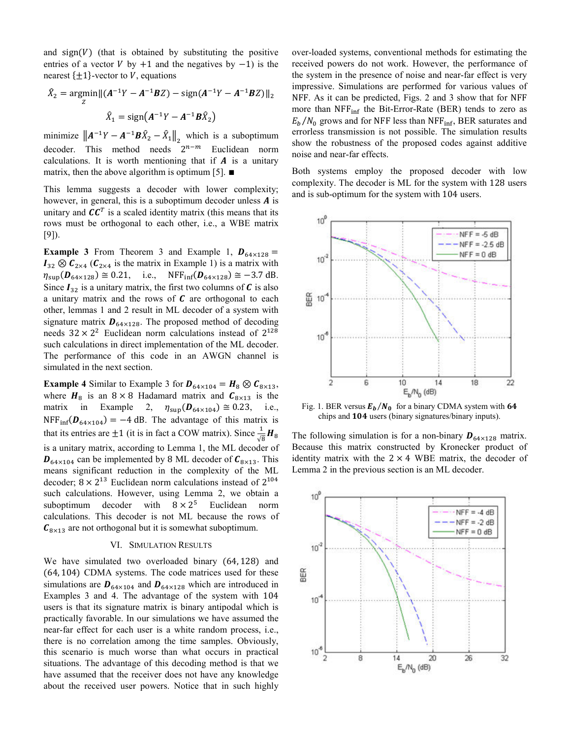and  $sign(V)$  (that is obtained by substituting the positive entries of a vector  $V$  by +1 and the negatives by  $-1$ ) is the nearest  $\{\pm 1\}$ -vector to V, equations

$$
\hat{X}_2 = \underset{Z}{\text{argmin}} ||(A^{-1}Y - A^{-1}BZ) - \text{sign}(A^{-1}Y - A^{-1}BZ)||_2
$$

$$
\hat{X}_1 = \text{sign}(A^{-1}Y - A^{-1}B\hat{X}_2)
$$

minimize  $||A^{-1}Y - A^{-1}B\hat{X}_2 - \hat{X}_1||_2$  which is a suboptimum decoder. This method needs  $2^{n-m}$  Euclidean norm calculations. It is worth mentioning that if  $A$  is a unitary matrix, then the above algorithm is optimum [5].  $\blacksquare$ 

This lemma suggests a decoder with lower complexity; however, in general, this is a suboptimum decoder unless  $\boldsymbol{A}$  is unitary and  $\mathbf{C} \mathbf{C}^T$  is a scaled identity matrix (this means that its rows must be orthogonal to each other, i.e., a WBE matrix [9]).

**Example 3** From Theorem 3 and Example 1,  $D_{64\times128}$  =  $I_{32} \otimes C_{2 \times 4}$  ( $C_{2 \times 4}$  is the matrix in Example 1) is a matrix with  $\eta_{\text{sup}}(\bm{D}_{64\times128}) \cong 0.21$ , i.e., NFF<sub>inf</sub> $(\bm{D}_{64\times128}) \cong -3.7$  dB. Since  $I_{32}$  is a unitary matrix, the first two columns of C is also a unitary matrix and the rows of  $C$  are orthogonal to each other, lemmas 1 and 2 result in ML decoder of a system with signature matrix  $\mathbf{D}_{64\times128}$ . The proposed method of decoding needs  $32 \times 2^2$  Euclidean norm calculations instead of  $2^{128}$ such calculations in direct implementation of the ML decoder. The performance of this code in an AWGN channel is simulated in the next section.

**Example 4** Similar to Example 3 for  $D_{64\times104} = H_8 \otimes C_{8\times13}$ , where  $H_8$  is an  $8 \times 8$  Hadamard matrix and  $C_{8 \times 13}$  is the matrix in Example 2,  $\eta_{\text{sup}}(\boldsymbol{D}_{64\times104}) \cong 0.23$ , i.e.,  $NFF_{\text{inf}}(\mathbf{D}_{64\times104}) = -4$  dB. The advantage of this matrix is that its entries are  $\pm 1$  (it is in fact a COW matrix). Since  $\frac{1}{\sqrt{8}}H_8$ is a unitary matrix, according to Lemma 1, the ML decoder of  $\mathbf{D}_{64\times104}$  can be implemented by 8 ML decoder of  $\mathbf{C}_{8\times13}$ . This means significant reduction in the complexity of the ML decoder;  $8 \times 2^{13}$  Euclidean norm calculations instead of  $2^{104}$ such calculations. However, using Lemma 2, we obtain a suboptimum decoder with  $8 \times 2^5$  Euclidean norm calculations. This decoder is not ML because the rows of  $C_{8\times13}$  are not orthogonal but it is somewhat suboptimum.

## VI. SIMULATION RESULTS

We have simulated two overloaded binary (64, 128) and (64, 104) CDMA systems. The code matrices used for these simulations are  $D_{64\times104}$  and  $D_{64\times128}$  which are introduced in Examples 3 and 4. The advantage of the system with 104 users is that its signature matrix is binary antipodal which is practically favorable. In our simulations we have assumed the near-far effect for each user is a white random process, i.e., there is no correlation among the time samples. Obviously, this scenario is much worse than what occurs in practical situations. The advantage of this decoding method is that we have assumed that the receiver does not have any knowledge about the received user powers. Notice that in such highly over-loaded systems, conventional methods for estimating the received powers do not work. However, the performance of the system in the presence of noise and near-far effect is very impressive. Simulations are performed for various values of NFF. As it can be predicted, Figs. 2 and 3 show that for NFF more than  $NFF_{\text{inf}}$  the Bit-Error-Rate (BER) tends to zero as  $E_b/N_0$  grows and for NFF less than NFF<sub>inf</sub>, BER saturates and errorless transmission is not possible. The simulation results show the robustness of the proposed codes against additive noise and near-far effects.

Both systems employ the proposed decoder with low complexity. The decoder is ML for the system with 128 users and is sub-optimum for the system with 104 users.



Fig. 1. BER versus  $E_b/N_0$  for a binary CDMA system with 64 chips and 104 users (binary signatures/binary inputs).

The following simulation is for a non-binary  $\boldsymbol{D}_{64\times128}$  matrix. Because this matrix constructed by Kronecker product of identity matrix with the  $2 \times 4$  WBE matrix, the decoder of Lemma 2 in the previous section is an ML decoder.